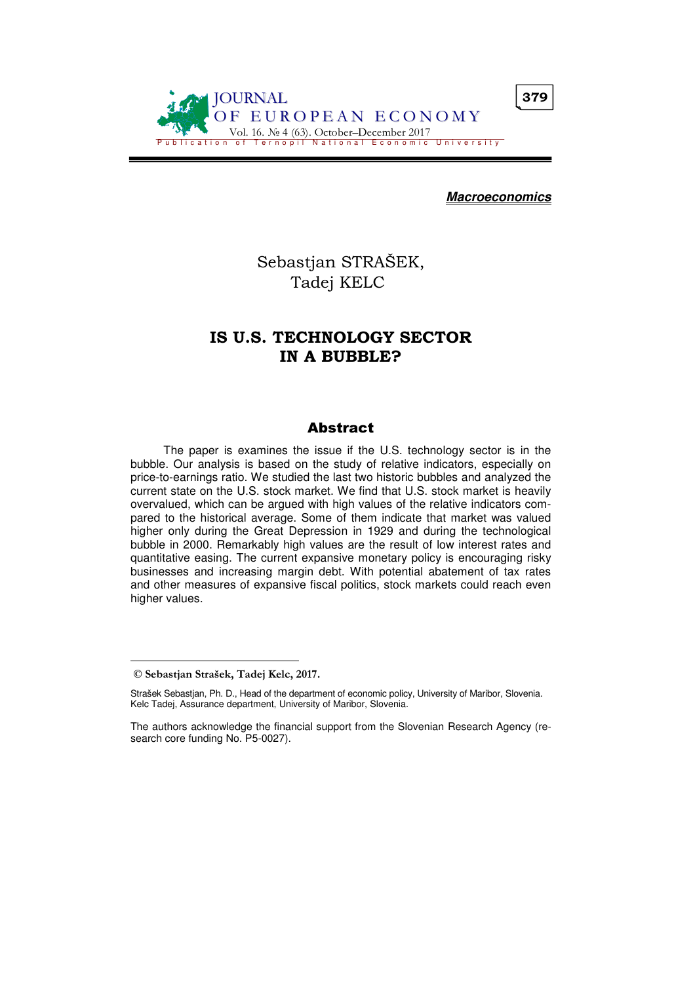

**Macroeconomics**

Sebastjan STRAŠEK, Tadej KELC

# IS U.S. TECHNOLOGY SECTOR IN A BUBBLE?

## Abstract

The paper is examines the issue if the U.S. technology sector is in the bubble. Our analysis is based on the study of relative indicators, especially on price-to-earnings ratio. We studied the last two historic bubbles and analyzed the current state on the U.S. stock market. We find that U.S. stock market is heavily overvalued, which can be argued with high values of the relative indicators compared to the historical average. Some of them indicate that market was valued higher only during the Great Depression in 1929 and during the technological bubble in 2000. Remarkably high values are the result of low interest rates and quantitative easing. The current expansive monetary policy is encouraging risky businesses and increasing margin debt. With potential abatement of tax rates and other measures of expansive fiscal politics, stock markets could reach even higher values.

 $\overline{a}$ 

<sup>©</sup> Sebastjan Strašek, Tadej Kelc, 2017.

Strašek Sebastjan, Ph. D., Head of the department of economic policy, University of Maribor, Slovenia. Kelc Tadej, Assurance department, University of Maribor, Slovenia.

The authors acknowledge the financial support from the Slovenian Research Agency (research core funding No. P5-0027).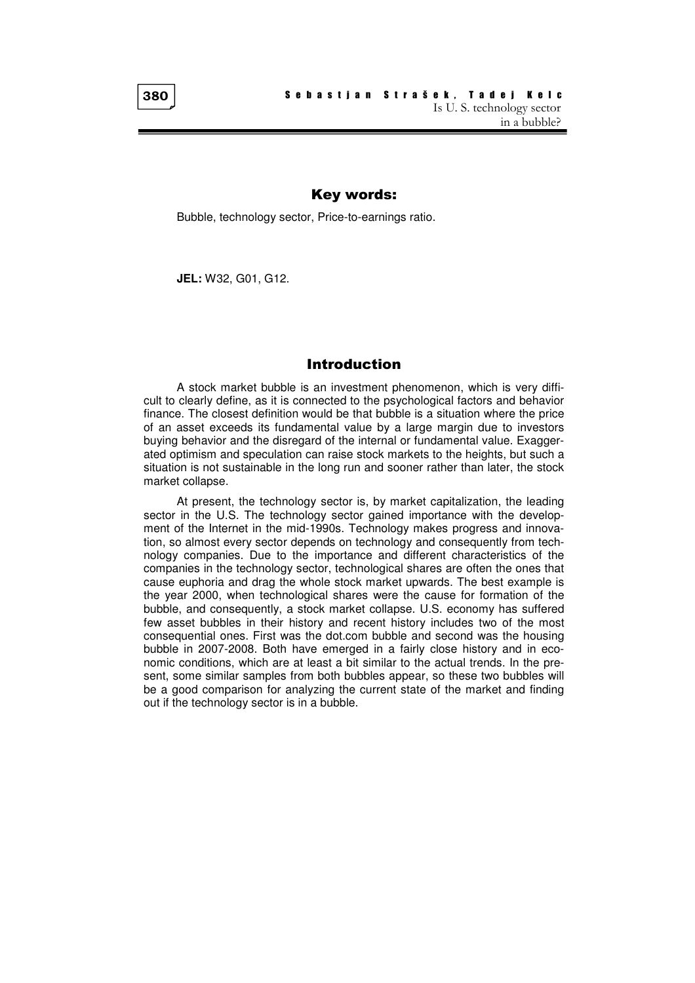## Key words:

Bubble, technology sector, Price-to-earnings ratio.

**JEL:** W32, G01, G12.

## Introduction

A stock market bubble is an investment phenomenon, which is very difficult to clearly define, as it is connected to the psychological factors and behavior finance. The closest definition would be that bubble is a situation where the price of an asset exceeds its fundamental value by a large margin due to investors buying behavior and the disregard of the internal or fundamental value. Exaggerated optimism and speculation can raise stock markets to the heights, but such a situation is not sustainable in the long run and sooner rather than later, the stock market collapse.

At present, the technology sector is, by market capitalization, the leading sector in the U.S. The technology sector gained importance with the development of the Internet in the mid-1990s. Technology makes progress and innovation, so almost every sector depends on technology and consequently from technology companies. Due to the importance and different characteristics of the companies in the technology sector, technological shares are often the ones that cause euphoria and drag the whole stock market upwards. The best example is the year 2000, when technological shares were the cause for formation of the bubble, and consequently, a stock market collapse. U.S. economy has suffered few asset bubbles in their history and recent history includes two of the most consequential ones. First was the dot.com bubble and second was the housing bubble in 2007-2008. Both have emerged in a fairly close history and in economic conditions, which are at least a bit similar to the actual trends. In the present, some similar samples from both bubbles appear, so these two bubbles will be a good comparison for analyzing the current state of the market and finding out if the technology sector is in a bubble.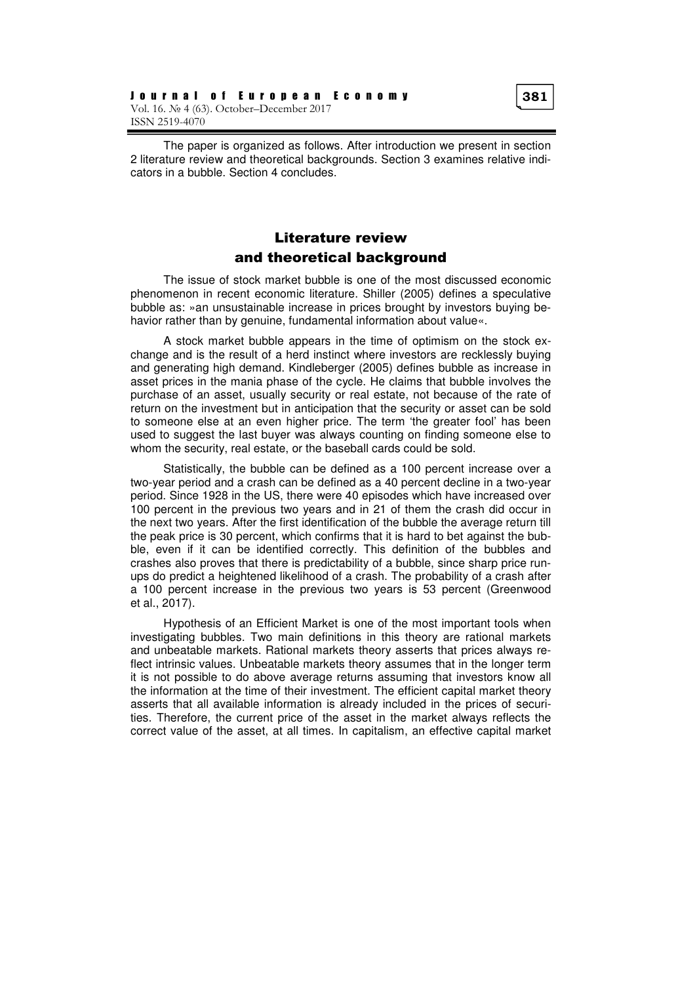The paper is organized as follows. After introduction we present in section 2 literature review and theoretical backgrounds. Section 3 examines relative indicators in a bubble. Section 4 concludes.

# Literature review and theoretical background

The issue of stock market bubble is one of the most discussed economic phenomenon in recent economic literature. Shiller (2005) defines a speculative bubble as: »an unsustainable increase in prices brought by investors buying behavior rather than by genuine, fundamental information about value«.

A stock market bubble appears in the time of optimism on the stock exchange and is the result of a herd instinct where investors are recklessly buying and generating high demand. Kindleberger (2005) defines bubble as increase in asset prices in the mania phase of the cycle. He claims that bubble involves the purchase of an asset, usually security or real estate, not because of the rate of return on the investment but in anticipation that the security or asset can be sold to someone else at an even higher price. The term 'the greater fool' has been used to suggest the last buyer was always counting on finding someone else to whom the security, real estate, or the baseball cards could be sold.

Statistically, the bubble can be defined as a 100 percent increase over a two-year period and a crash can be defined as a 40 percent decline in a two-year period. Since 1928 in the US, there were 40 episodes which have increased over 100 percent in the previous two years and in 21 of them the crash did occur in the next two years. After the first identification of the bubble the average return till the peak price is 30 percent, which confirms that it is hard to bet against the bubble, even if it can be identified correctly. This definition of the bubbles and crashes also proves that there is predictability of a bubble, since sharp price runups do predict a heightened likelihood of a crash. The probability of a crash after a 100 percent increase in the previous two years is 53 percent (Greenwood et al., 2017).

Hypothesis of an Efficient Market is one of the most important tools when investigating bubbles. Two main definitions in this theory are rational markets and unbeatable markets. Rational markets theory asserts that prices always reflect intrinsic values. Unbeatable markets theory assumes that in the longer term it is not possible to do above average returns assuming that investors know all the information at the time of their investment. The efficient capital market theory asserts that all available information is already included in the prices of securities. Therefore, the current price of the asset in the market always reflects the correct value of the asset, at all times. In capitalism, an effective capital market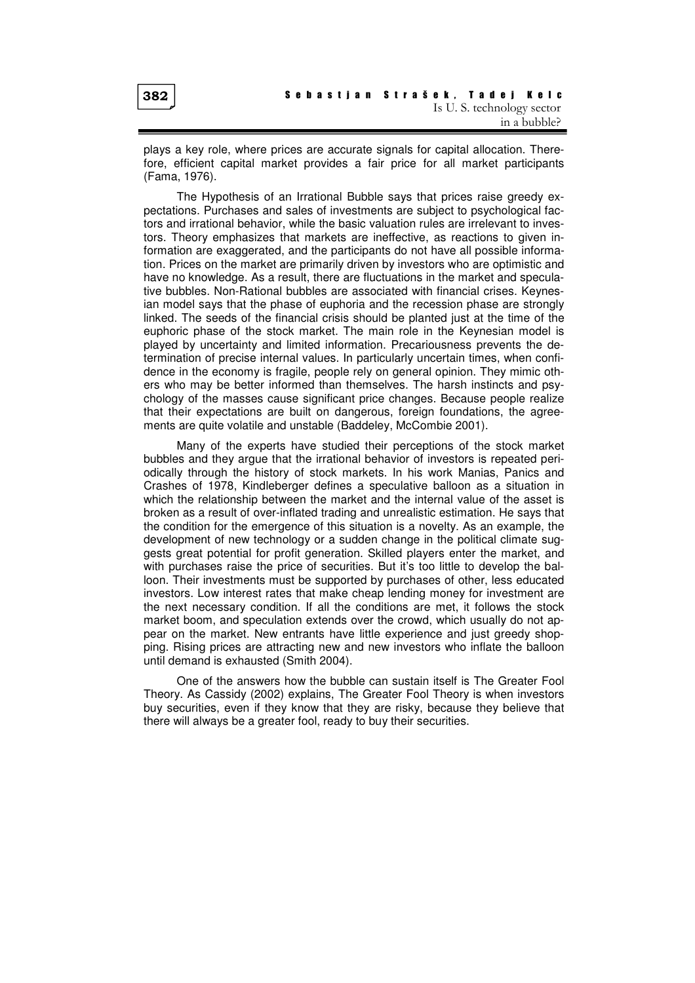plays a key role, where prices are accurate signals for capital allocation. Therefore, efficient capital market provides a fair price for all market participants (Fama, 1976).

The Hypothesis of an Irrational Bubble says that prices raise greedy expectations. Purchases and sales of investments are subject to psychological factors and irrational behavior, while the basic valuation rules are irrelevant to investors. Theory emphasizes that markets are ineffective, as reactions to given information are exaggerated, and the participants do not have all possible information. Prices on the market are primarily driven by investors who are optimistic and have no knowledge. As a result, there are fluctuations in the market and speculative bubbles. Non-Rational bubbles are associated with financial crises. Keynesian model says that the phase of euphoria and the recession phase are strongly linked. The seeds of the financial crisis should be planted just at the time of the euphoric phase of the stock market. The main role in the Keynesian model is played by uncertainty and limited information. Precariousness prevents the determination of precise internal values. In particularly uncertain times, when confidence in the economy is fragile, people rely on general opinion. They mimic others who may be better informed than themselves. The harsh instincts and psychology of the masses cause significant price changes. Because people realize that their expectations are built on dangerous, foreign foundations, the agreements are quite volatile and unstable (Baddeley, McCombie 2001).

Many of the experts have studied their perceptions of the stock market bubbles and they argue that the irrational behavior of investors is repeated periodically through the history of stock markets. In his work Manias, Panics and Crashes of 1978, Kindleberger defines a speculative balloon as a situation in which the relationship between the market and the internal value of the asset is broken as a result of over-inflated trading and unrealistic estimation. He says that the condition for the emergence of this situation is a novelty. As an example, the development of new technology or a sudden change in the political climate suggests great potential for profit generation. Skilled players enter the market, and with purchases raise the price of securities. But it's too little to develop the balloon. Their investments must be supported by purchases of other, less educated investors. Low interest rates that make cheap lending money for investment are the next necessary condition. If all the conditions are met, it follows the stock market boom, and speculation extends over the crowd, which usually do not appear on the market. New entrants have little experience and just greedy shopping. Rising prices are attracting new and new investors who inflate the balloon until demand is exhausted (Smith 2004).

One of the answers how the bubble can sustain itself is The Greater Fool Theory. As Cassidy (2002) explains, The Greater Fool Theory is when investors buy securities, even if they know that they are risky, because they believe that there will always be a greater fool, ready to buy their securities.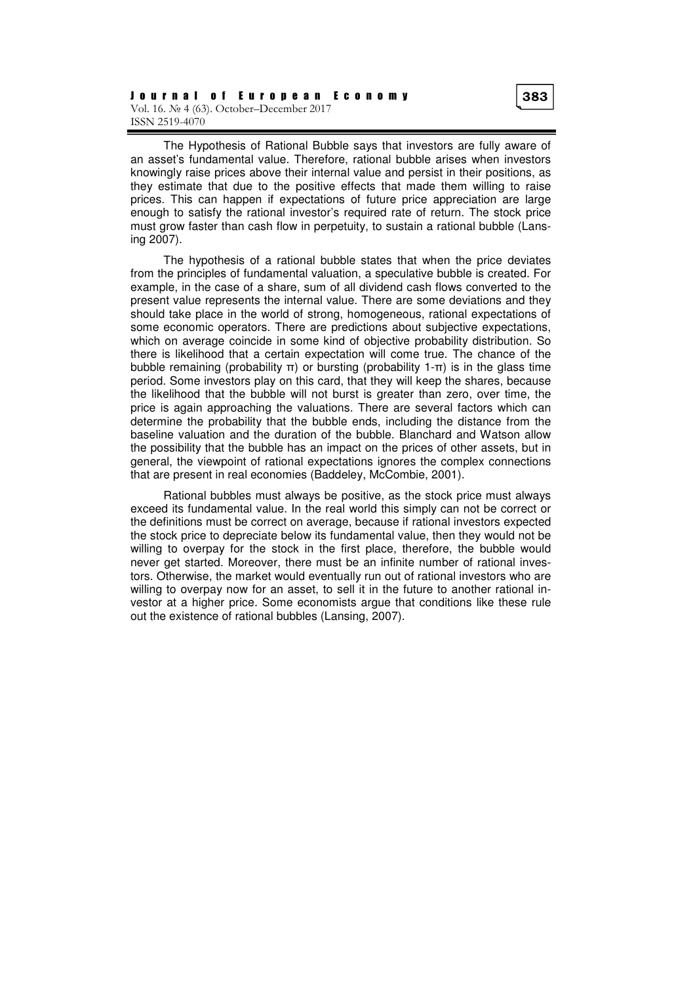The Hypothesis of Rational Bubble says that investors are fully aware of an asset's fundamental value. Therefore, rational bubble arises when investors knowingly raise prices above their internal value and persist in their positions, as they estimate that due to the positive effects that made them willing to raise prices. This can happen if expectations of future price appreciation are large enough to satisfy the rational investor's required rate of return. The stock price must grow faster than cash flow in perpetuity, to sustain a rational bubble (Lansing 2007).

The hypothesis of a rational bubble states that when the price deviates from the principles of fundamental valuation, a speculative bubble is created. For example, in the case of a share, sum of all dividend cash flows converted to the present value represents the internal value. There are some deviations and they should take place in the world of strong, homogeneous, rational expectations of some economic operators. There are predictions about subjective expectations, which on average coincide in some kind of objective probability distribution. So there is likelihood that a certain expectation will come true. The chance of the bubble remaining (probability π) or bursting (probability 1-π) is in the glass time period. Some investors play on this card, that they will keep the shares, because the likelihood that the bubble will not burst is greater than zero, over time, the price is again approaching the valuations. There are several factors which can determine the probability that the bubble ends, including the distance from the baseline valuation and the duration of the bubble. Blanchard and Watson allow the possibility that the bubble has an impact on the prices of other assets, but in general, the viewpoint of rational expectations ignores the complex connections that are present in real economies (Baddeley, McCombie, 2001).

Rational bubbles must always be positive, as the stock price must always exceed its fundamental value. In the real world this simply can not be correct or the definitions must be correct on average, because if rational investors expected the stock price to depreciate below its fundamental value, then they would not be willing to overpay for the stock in the first place, therefore, the bubble would never get started. Moreover, there must be an infinite number of rational investors. Otherwise, the market would eventually run out of rational investors who are willing to overpay now for an asset, to sell it in the future to another rational investor at a higher price. Some economists argue that conditions like these rule out the existence of rational bubbles (Lansing, 2007).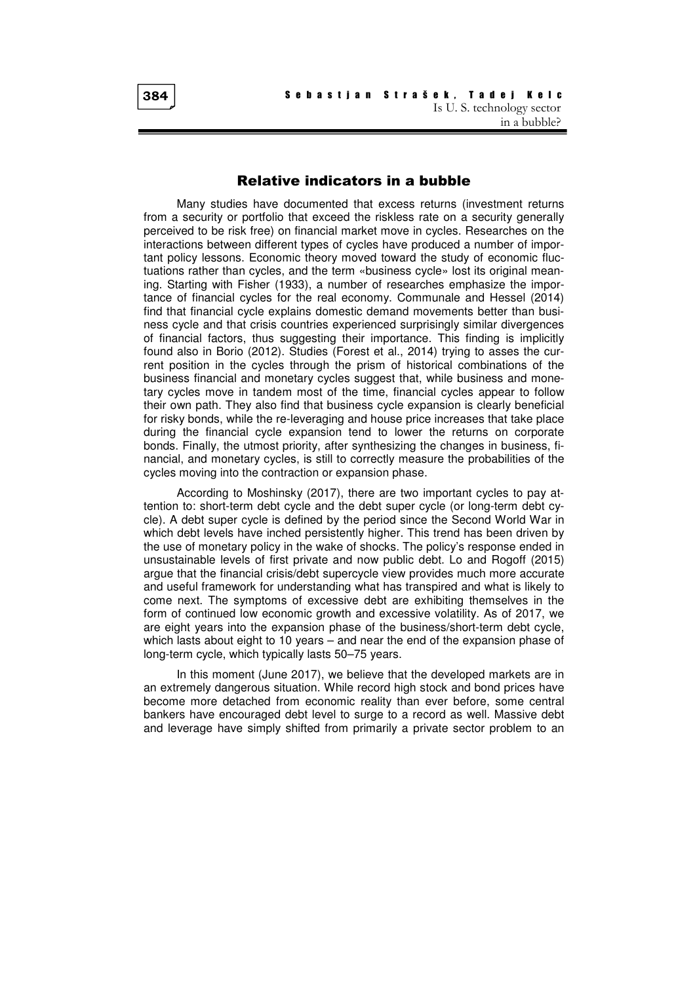### Relative indicators in a bubble

Many studies have documented that excess returns (investment returns from a security or portfolio that exceed the riskless rate on a security generally perceived to be risk free) on financial market move in cycles. Researches on the interactions between different types of cycles have produced a number of important policy lessons. Economic theory moved toward the study of economic fluctuations rather than cycles, and the term «business cycle» lost its original meaning. Starting with Fisher (1933), a number of researches emphasize the importance of financial cycles for the real economy. Communale and Hessel (2014) find that financial cycle explains domestic demand movements better than business cycle and that crisis countries experienced surprisingly similar divergences of financial factors, thus suggesting their importance. This finding is implicitly found also in Borio (2012). Studies (Forest et al., 2014) trying to asses the current position in the cycles through the prism of historical combinations of the business financial and monetary cycles suggest that, while business and monetary cycles move in tandem most of the time, financial cycles appear to follow their own path. They also find that business cycle expansion is clearly beneficial for risky bonds, while the re-leveraging and house price increases that take place during the financial cycle expansion tend to lower the returns on corporate bonds. Finally, the utmost priority, after synthesizing the changes in business, financial, and monetary cycles, is still to correctly measure the probabilities of the cycles moving into the contraction or expansion phase.

According to Moshinsky (2017), there are two important cycles to pay attention to: short-term debt cycle and the debt super cycle (or long-term debt cycle). A debt super cycle is defined by the period since the Second World War in which debt levels have inched persistently higher. This trend has been driven by the use of monetary policy in the wake of shocks. The policy's response ended in unsustainable levels of first private and now public debt. Lo and Rogoff (2015) argue that the financial crisis/debt supercycle view provides much more accurate and useful framework for understanding what has transpired and what is likely to come next. The symptoms of excessive debt are exhibiting themselves in the form of continued low economic growth and excessive volatility. As of 2017, we are eight years into the expansion phase of the business/short-term debt cycle, which lasts about eight to 10 years – and near the end of the expansion phase of long-term cycle, which typically lasts 50–75 years.

In this moment (June 2017), we believe that the developed markets are in an extremely dangerous situation. While record high stock and bond prices have become more detached from economic reality than ever before, some central bankers have encouraged debt level to surge to a record as well. Massive debt and leverage have simply shifted from primarily a private sector problem to an

384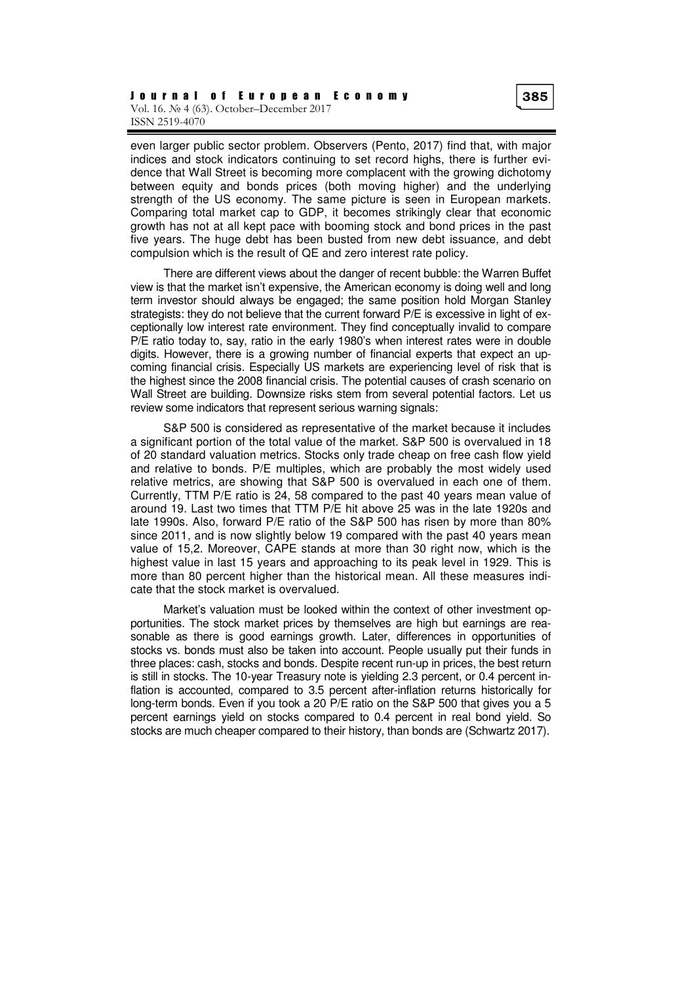even larger public sector problem. Observers (Pento, 2017) find that, with major indices and stock indicators continuing to set record highs, there is further evidence that Wall Street is becoming more complacent with the growing dichotomy between equity and bonds prices (both moving higher) and the underlying strength of the US economy. The same picture is seen in European markets. Comparing total market cap to GDP, it becomes strikingly clear that economic growth has not at all kept pace with booming stock and bond prices in the past five years. The huge debt has been busted from new debt issuance, and debt compulsion which is the result of QE and zero interest rate policy.

There are different views about the danger of recent bubble: the Warren Buffet view is that the market isn't expensive, the American economy is doing well and long term investor should always be engaged; the same position hold Morgan Stanley strategists: they do not believe that the current forward P/E is excessive in light of exceptionally low interest rate environment. They find conceptually invalid to compare P/E ratio today to, say, ratio in the early 1980's when interest rates were in double digits. However, there is a growing number of financial experts that expect an upcoming financial crisis. Especially US markets are experiencing level of risk that is the highest since the 2008 financial crisis. The potential causes of crash scenario on Wall Street are building. Downsize risks stem from several potential factors. Let us review some indicators that represent serious warning signals:

S&P 500 is considered as representative of the market because it includes a significant portion of the total value of the market. S&P 500 is overvalued in 18 of 20 standard valuation metrics. Stocks only trade cheap on free cash flow yield and relative to bonds. P/E multiples, which are probably the most widely used relative metrics, are showing that S&P 500 is overvalued in each one of them. Currently, TTM P/E ratio is 24, 58 compared to the past 40 years mean value of around 19. Last two times that TTM P/E hit above 25 was in the late 1920s and late 1990s. Also, forward P/E ratio of the S&P 500 has risen by more than 80% since 2011, and is now slightly below 19 compared with the past 40 years mean value of 15,2. Moreover, CAPE stands at more than 30 right now, which is the highest value in last 15 years and approaching to its peak level in 1929. This is more than 80 percent higher than the historical mean. All these measures indicate that the stock market is overvalued.

Market's valuation must be looked within the context of other investment opportunities. The stock market prices by themselves are high but earnings are reasonable as there is good earnings growth. Later, differences in opportunities of stocks vs. bonds must also be taken into account. People usually put their funds in three places: cash, stocks and bonds. Despite recent run-up in prices, the best return is still in stocks. The 10-year Treasury note is yielding 2.3 percent, or 0.4 percent inflation is accounted, compared to 3.5 percent after-inflation returns historically for long-term bonds. Even if you took a 20 P/E ratio on the S&P 500 that gives you a 5 percent earnings yield on stocks compared to 0.4 percent in real bond yield. So stocks are much cheaper compared to their history, than bonds are (Schwartz 2017).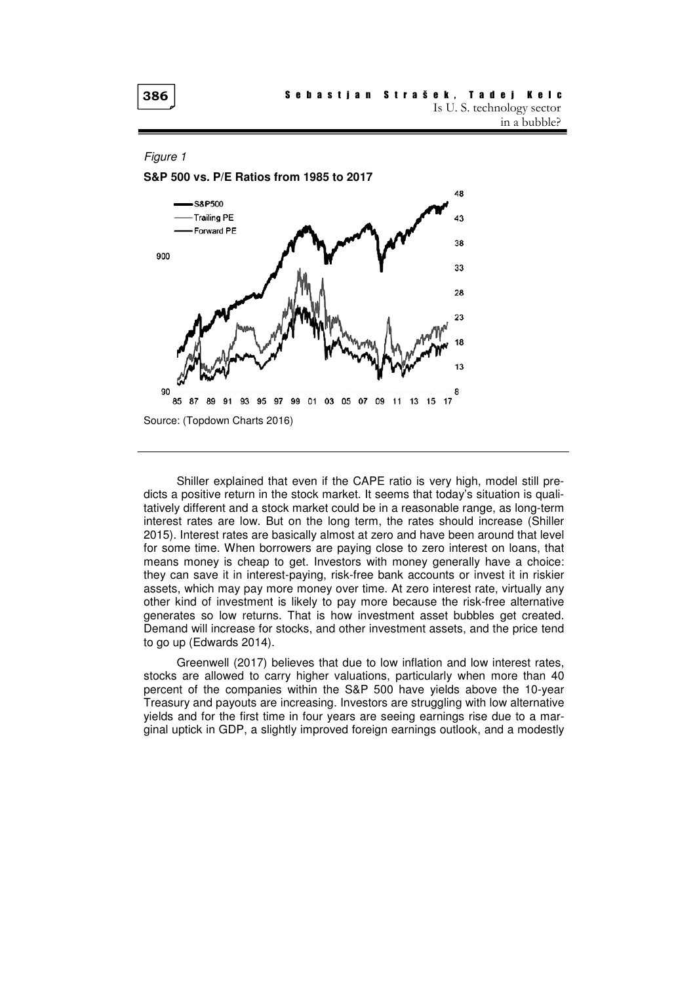#### Figure 1





Shiller explained that even if the CAPE ratio is very high, model still predicts a positive return in the stock market. It seems that today's situation is qualitatively different and a stock market could be in a reasonable range, as long-term interest rates are low. But on the long term, the rates should increase (Shiller 2015). Interest rates are basically almost at zero and have been around that level for some time. When borrowers are paying close to zero interest on loans, that means money is cheap to get. Investors with money generally have a choice: they can save it in interest-paying, risk-free bank accounts or invest it in riskier assets, which may pay more money over time. At zero interest rate, virtually any other kind of investment is likely to pay more because the risk-free alternative generates so low returns. That is how investment asset bubbles get created. Demand will increase for stocks, and other investment assets, and the price tend to go up (Edwards 2014).

Greenwell (2017) believes that due to low inflation and low interest rates, stocks are allowed to carry higher valuations, particularly when more than 40 percent of the companies within the S&P 500 have yields above the 10-year Treasury and payouts are increasing. Investors are struggling with low alternative yields and for the first time in four years are seeing earnings rise due to a marginal uptick in GDP, a slightly improved foreign earnings outlook, and a modestly

386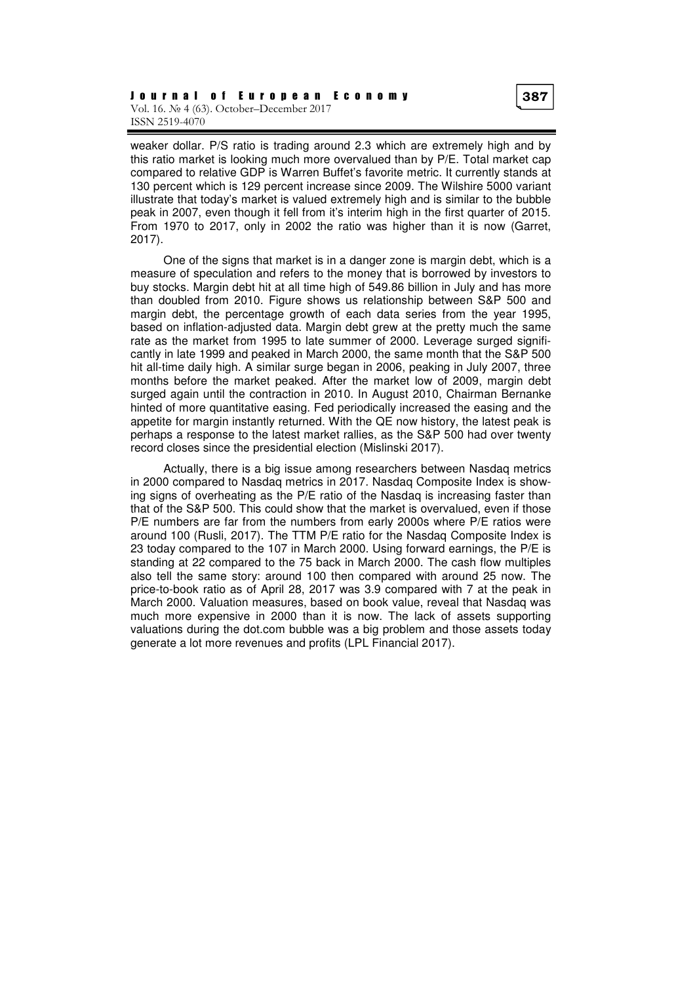weaker dollar. P/S ratio is trading around 2.3 which are extremely high and by this ratio market is looking much more overvalued than by P/E. Total market cap compared to relative GDP is Warren Buffet's favorite metric. It currently stands at 130 percent which is 129 percent increase since 2009. The Wilshire 5000 variant illustrate that today's market is valued extremely high and is similar to the bubble peak in 2007, even though it fell from it's interim high in the first quarter of 2015. From 1970 to 2017, only in 2002 the ratio was higher than it is now (Garret, 2017).

One of the signs that market is in a danger zone is margin debt, which is a measure of speculation and refers to the money that is borrowed by investors to buy stocks. Margin debt hit at all time high of 549.86 billion in July and has more than doubled from 2010. Figure shows us relationship between S&P 500 and margin debt, the percentage growth of each data series from the year 1995, based on inflation-adjusted data. Margin debt grew at the pretty much the same rate as the market from 1995 to late summer of 2000. Leverage surged significantly in late 1999 and peaked in March 2000, the same month that the S&P 500 hit all-time daily high. A similar surge began in 2006, peaking in July 2007, three months before the market peaked. After the market low of 2009, margin debt surged again until the contraction in 2010. In August 2010, Chairman Bernanke hinted of more quantitative easing. Fed periodically increased the easing and the appetite for margin instantly returned. With the QE now history, the latest peak is perhaps a response to the latest market rallies, as the S&P 500 had over twenty record closes since the presidential election (Mislinski 2017).

Actually, there is a big issue among researchers between Nasdaq metrics in 2000 compared to Nasdaq metrics in 2017. Nasdaq Composite Index is showing signs of overheating as the P/E ratio of the Nasdaq is increasing faster than that of the S&P 500. This could show that the market is overvalued, even if those P/E numbers are far from the numbers from early 2000s where P/E ratios were around 100 (Rusli, 2017). The TTM P/E ratio for the Nasdaq Composite Index is 23 today compared to the 107 in March 2000. Using forward earnings, the P/E is standing at 22 compared to the 75 back in March 2000. The cash flow multiples also tell the same story: around 100 then compared with around 25 now. The price-to-book ratio as of April 28, 2017 was 3.9 compared with 7 at the peak in March 2000. Valuation measures, based on book value, reveal that Nasdaq was much more expensive in 2000 than it is now. The lack of assets supporting valuations during the dot.com bubble was a big problem and those assets today generate a lot more revenues and profits (LPL Financial 2017).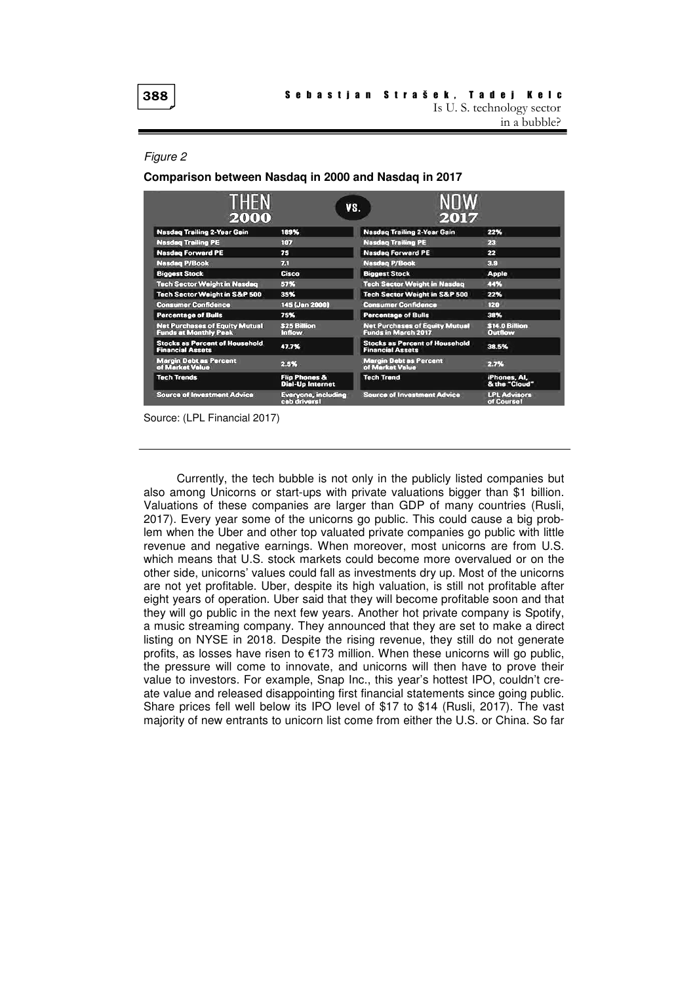388

#### Figure 2

**Comparison between Nasdaq in 2000 and Nasdaq in 2017** 

| THEN<br>2000                                                          | VS.                                                 | 2017                                                                |                                   |
|-----------------------------------------------------------------------|-----------------------------------------------------|---------------------------------------------------------------------|-----------------------------------|
| <b>Nasdaq Trailing 2-Year Gain</b>                                    | 189%                                                | <b>Nasdaq Trailing 2-Year Gain</b>                                  | 22%                               |
| <b>Nasdaq Trailing PE</b>                                             | 107                                                 | <b>Nasdaq Trailing PE</b>                                           | 23                                |
| <b>Nasdaq Forward PE</b>                                              | 75                                                  | <b>Nasdag Forward PE</b>                                            | 22                                |
| <b>Nasdaq P/Book</b>                                                  | 7A)                                                 | <b>Nasdaq P/Book</b>                                                | 3.9                               |
| <b>Biggest Stock</b>                                                  | <b>Cisco</b>                                        | <b>Biggest Stock</b>                                                | Apple                             |
| <b>Tech Sector Weight in Nasdaq</b>                                   | 5775                                                | <b>Tech Sector Weight in Nasdaq</b>                                 | 44%                               |
| Tech Sector Weight in S&P 500                                         | 35%                                                 | <b>Tech Sector Weight in S&amp;P 500</b>                            | 22%<br>120<br>38%                 |
| <b>Consumer Confidence</b>                                            | 145 (Jan 2000)                                      | <b>Consumer Confidence</b>                                          |                                   |
| <b>Percentage of Bulls</b>                                            | 75%                                                 | <b>Percentage of Bulls</b>                                          |                                   |
| <b>Net Purchases of Equity Mutual</b><br><b>Funds at Monthly Peak</b> | \$25 Billion<br><b>Inflow</b>                       | <b>Net Purchases of Equity Mutual</b><br><b>Funds in March 2017</b> | \$14.0 Billion<br><b>Outflow</b>  |
| <b>Stocks as Percent of Household</b><br><b>Financial Assets</b>      | 47.7%                                               | <b>Stocks as Percent of Household</b><br><b>Financial Assets</b>    | 38.5%                             |
| <b>Margin Debt as Percent</b><br>of Market Value                      | 2.5%                                                | <b>Margin Debt as Percent</b><br>of Market Value                    | 2.7%                              |
| <b>Tech Trends</b>                                                    | <b>Flip Phones &amp;</b><br><b>Dial-Up Internet</b> | <b>Tech Trend</b>                                                   | iPhones, Al.<br>& the "Cloud"     |
| <b>Source of Investment Advice</b>                                    | <b>Everyone, including</b><br>cab drivers!          | <b>Source of Investment Advice</b>                                  | <b>LPL Advisors</b><br>of Course! |

Source: (LPL Financial 2017)

Currently, the tech bubble is not only in the publicly listed companies but also among Unicorns or start-ups with private valuations bigger than \$1 billion. Valuations of these companies are larger than GDP of many countries (Rusli, 2017). Every year some of the unicorns go public. This could cause a big problem when the Uber and other top valuated private companies go public with little revenue and negative earnings. When moreover, most unicorns are from U.S. which means that U.S. stock markets could become more overvalued or on the other side, unicorns' values could fall as investments dry up. Most of the unicorns are not yet profitable. Uber, despite its high valuation, is still not profitable after eight years of operation. Uber said that they will become profitable soon and that they will go public in the next few years. Another hot private company is Spotify, a music streaming company. They announced that they are set to make a direct listing on NYSE in 2018. Despite the rising revenue, they still do not generate profits, as losses have risen to €173 million. When these unicorns will go public, the pressure will come to innovate, and unicorns will then have to prove their value to investors. For example, Snap Inc., this year's hottest IPO, couldn't create value and released disappointing first financial statements since going public. Share prices fell well below its IPO level of \$17 to \$14 (Rusli, 2017). The vast majority of new entrants to unicorn list come from either the U.S. or China. So far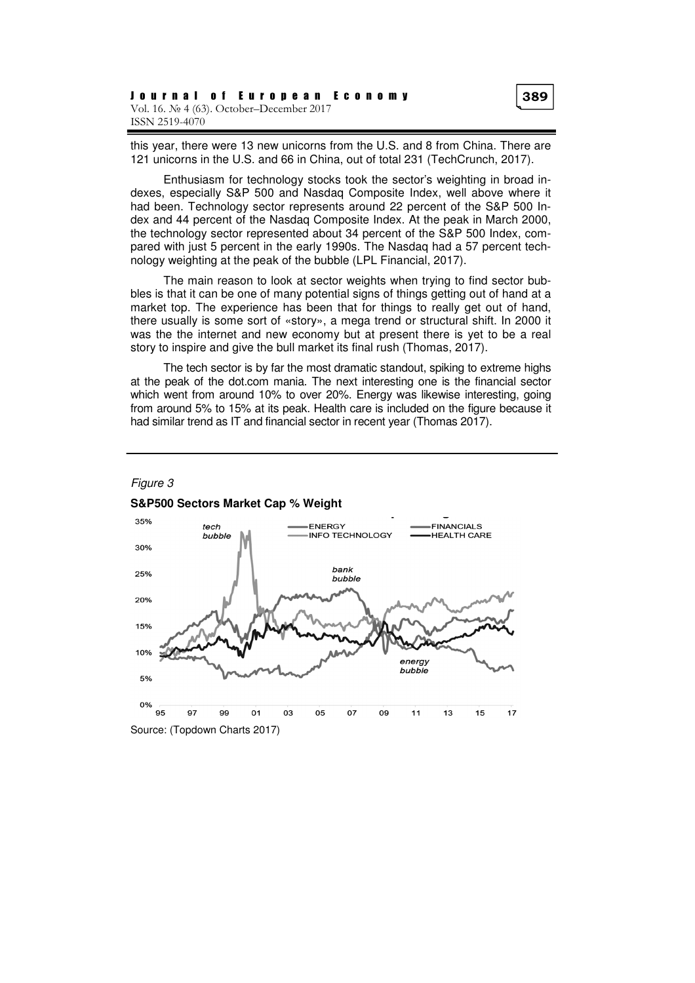this year, there were 13 new unicorns from the U.S. and 8 from China. There are 121 unicorns in the U.S. and 66 in China, out of total 231 (TechCrunch, 2017).

Enthusiasm for technology stocks took the sector's weighting in broad indexes, especially S&P 500 and Nasdaq Composite Index, well above where it had been. Technology sector represents around 22 percent of the S&P 500 Index and 44 percent of the Nasdaq Composite Index. At the peak in March 2000, the technology sector represented about 34 percent of the S&P 500 Index, compared with just 5 percent in the early 1990s. The Nasdaq had a 57 percent technology weighting at the peak of the bubble (LPL Financial, 2017).

The main reason to look at sector weights when trying to find sector bubbles is that it can be one of many potential signs of things getting out of hand at a market top. The experience has been that for things to really get out of hand, there usually is some sort of «story», a mega trend or structural shift. In 2000 it was the the internet and new economy but at present there is yet to be a real story to inspire and give the bull market its final rush (Thomas, 2017).

The tech sector is by far the most dramatic standout, spiking to extreme highs at the peak of the dot.com mania. The next interesting one is the financial sector which went from around 10% to over 20%. Energy was likewise interesting, going from around 5% to 15% at its peak. Health care is included on the figure because it had similar trend as IT and financial sector in recent year (Thomas 2017).

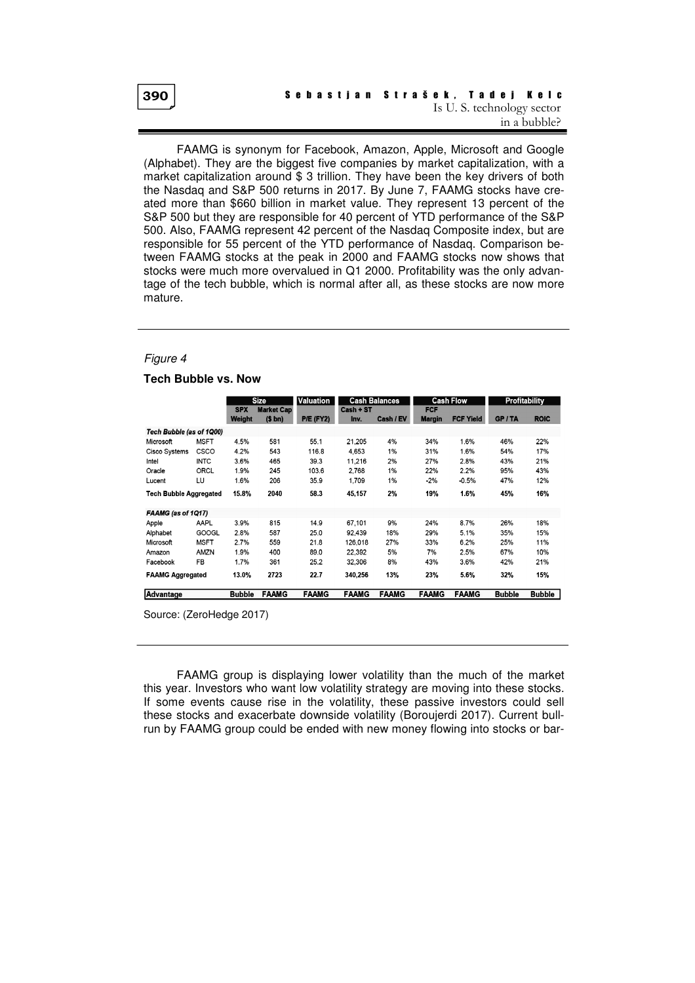FAAMG is synonym for Facebook, Amazon, Apple, Microsoft and Google (Alphabet). They are the biggest five companies by market capitalization, with a market capitalization around \$ 3 trillion. They have been the key drivers of both the Nasdaq and S&P 500 returns in 2017. By June 7, FAAMG stocks have created more than \$660 billion in market value. They represent 13 percent of the S&P 500 but they are responsible for 40 percent of YTD performance of the S&P 500. Also, FAAMG represent 42 percent of the Nasdaq Composite index, but are responsible for 55 percent of the YTD performance of Nasdaq. Comparison between FAAMG stocks at the peak in 2000 and FAAMG stocks now shows that stocks were much more overvalued in Q1 2000. Profitability was the only advantage of the tech bubble, which is normal after all, as these stocks are now more mature.

#### Figure 4

## **Tech Bubble vs. Now**

|                               |             | <b>Size</b>   |                   | <b>Valuation</b> |              | <b>Cash Balances</b> | <b>Cash Flow</b> |                  | <b>Profitability</b> |               |
|-------------------------------|-------------|---------------|-------------------|------------------|--------------|----------------------|------------------|------------------|----------------------|---------------|
|                               |             | <b>SPX</b>    | <b>Market Cap</b> |                  | Cash + ST    |                      | <b>FCF</b>       |                  |                      |               |
|                               |             | Weight        | $($ \$ bn $)$     | <b>P/E (FY2)</b> | Inv.         | Cash / EV            | <b>Margin</b>    | <b>FCF Yield</b> | GP/TA                | <b>ROIC</b>   |
| Tech Bubble (as of 1Q00)      |             |               |                   |                  |              |                      |                  |                  |                      |               |
| Microsoft                     | <b>MSFT</b> | 4.5%          | 581               | 55.1             | 21.205       | 4%                   | 34%              | 1.6%             | 46%                  | 22%           |
| Cisco Systems                 | CSCO        | 4.2%          | 543               | 116.8            | 4.653        | 1%                   | 31%              | 1.6%             | 54%                  | 17%           |
| Intel                         | <b>INTC</b> | 3.6%          | 465               | 39.3             | 11,216       | 2%                   | 27%              | 2.8%             | 43%                  | 21%           |
| Oracle                        | ORCL        | 1.9%          | 245               | 103.6            | 2,768        | 1%                   | 22%              | 2.2%             | 95%                  | 43%           |
| Lucent                        | LU          | 1.6%          | 206               | 35.9             | 1,709        | 1%                   | $-2%$            | $-0.5%$          | 47%                  | 12%           |
| <b>Tech Bubble Aggregated</b> |             | 15.8%         | 2040              | 58.3             | 45,157       | 2%                   | 19%              | 1.6%             | 45%                  | 16%           |
| FAAMG (as of 1Q17)            |             |               |                   |                  |              |                      |                  |                  |                      |               |
| Apple                         | AAPL        | 3.9%          | 815               | 14.9             | 67,101       | 9%                   | 24%              | 8.7%             | 26%                  | 18%           |
| Alphabet                      | GOOGL       | 2.8%          | 587               | 25.0             | 92.439       | 18%                  | 29%              | 5.1%             | 35%                  | 15%           |
| Microsoft                     | <b>MSFT</b> | 2.7%          | 559               | 21.8             | 126.018      | 27%                  | 33%              | 6.2%             | 25%                  | 11%           |
| Amazon                        | AMZN        | 1.9%          | 400               | 89.0             | 22,392       | 5%                   | 7%               | 2.5%             | 67%                  | 10%           |
| Facebook                      | FB          | 1.7%          | 361               | 25.2             | 32,306       | 8%                   | 43%              | 3.6%             | 42%                  | 21%           |
| <b>FAAMG Aggregated</b>       |             | 13.0%         | 2723              | 22.7             | 340,256      | 13%                  | 23%              | 5.6%             | 32%                  | 15%           |
| Advantage                     |             | <b>Bubble</b> | <b>FAAMG</b>      | <b>FAAMG</b>     | <b>FAAMG</b> | <b>FAAMG</b>         | <b>FAAMG</b>     | <b>FAAMG</b>     | <b>Bubble</b>        | <b>Bubble</b> |

Source: (ZeroHedge 2017)

FAAMG group is displaying lower volatility than the much of the market this year. Investors who want low volatility strategy are moving into these stocks. If some events cause rise in the volatility, these passive investors could sell these stocks and exacerbate downside volatility (Boroujerdi 2017). Current bullrun by FAAMG group could be ended with new money flowing into stocks or bar-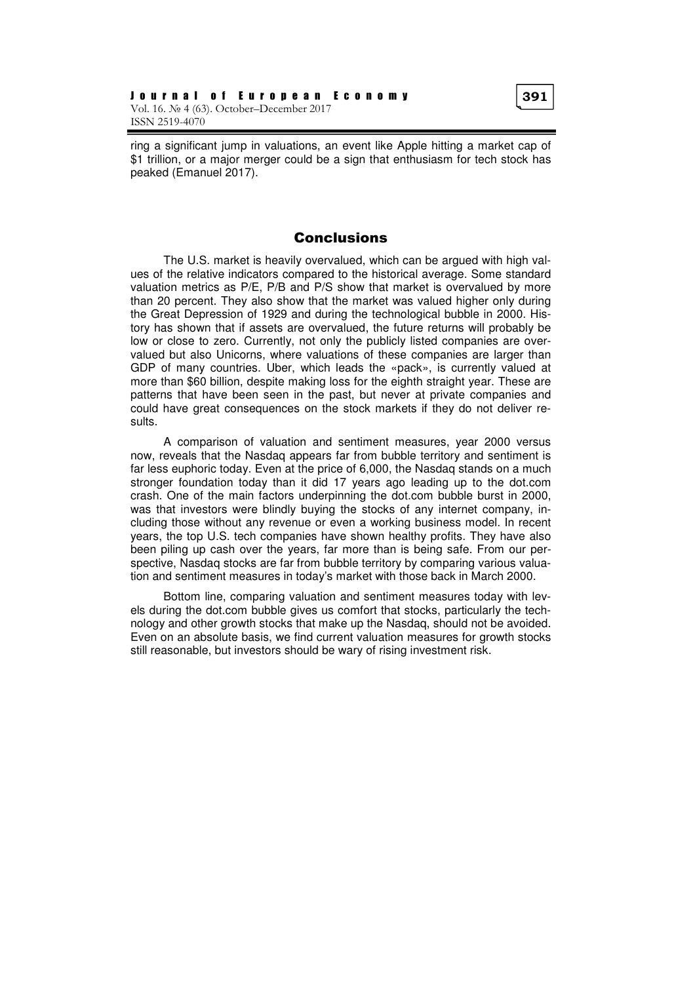391

ring a significant jump in valuations, an event like Apple hitting a market cap of \$1 trillion, or a major merger could be a sign that enthusiasm for tech stock has peaked (Emanuel 2017).

## Conclusions

The U.S. market is heavily overvalued, which can be argued with high values of the relative indicators compared to the historical average. Some standard valuation metrics as P/E, P/B and P/S show that market is overvalued by more than 20 percent. They also show that the market was valued higher only during the Great Depression of 1929 and during the technological bubble in 2000. History has shown that if assets are overvalued, the future returns will probably be low or close to zero. Currently, not only the publicly listed companies are overvalued but also Unicorns, where valuations of these companies are larger than GDP of many countries. Uber, which leads the «pack», is currently valued at more than \$60 billion, despite making loss for the eighth straight year. These are patterns that have been seen in the past, but never at private companies and could have great consequences on the stock markets if they do not deliver results.

A comparison of valuation and sentiment measures, year 2000 versus now, reveals that the Nasdaq appears far from bubble territory and sentiment is far less euphoric today. Even at the price of 6,000, the Nasdaq stands on a much stronger foundation today than it did 17 years ago leading up to the dot.com crash. One of the main factors underpinning the dot.com bubble burst in 2000, was that investors were blindly buying the stocks of any internet company, including those without any revenue or even a working business model. In recent years, the top U.S. tech companies have shown healthy profits. They have also been piling up cash over the years, far more than is being safe. From our perspective, Nasdaq stocks are far from bubble territory by comparing various valuation and sentiment measures in today's market with those back in March 2000.

Bottom line, comparing valuation and sentiment measures today with levels during the dot.com bubble gives us comfort that stocks, particularly the technology and other growth stocks that make up the Nasdaq, should not be avoided. Even on an absolute basis, we find current valuation measures for growth stocks still reasonable, but investors should be wary of rising investment risk.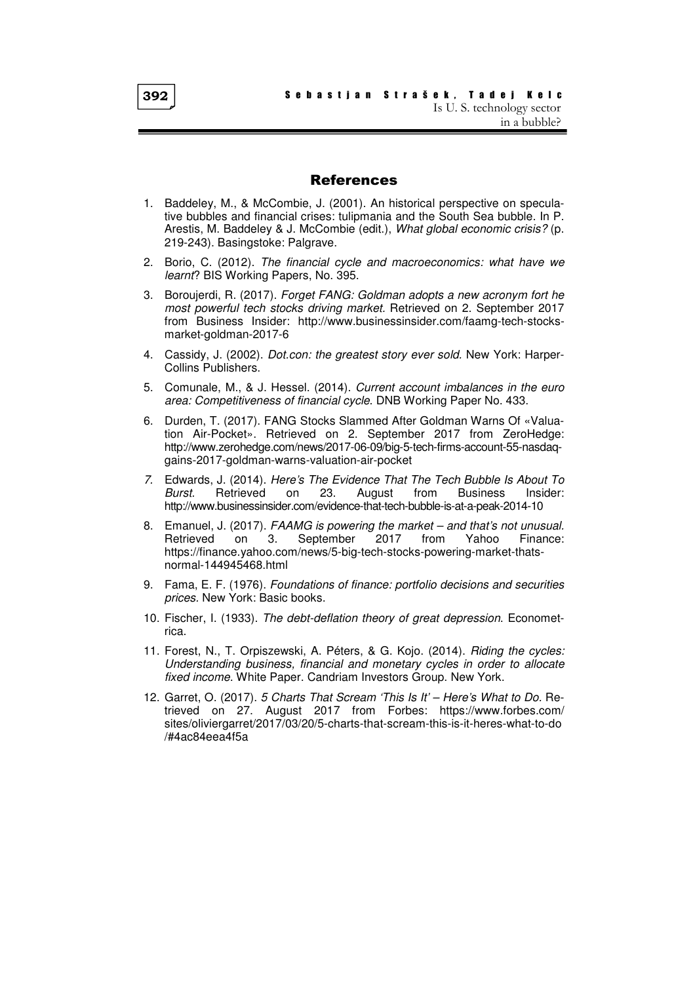392

## References

- 1. Baddeley, M., & McCombie, J. (2001). An historical perspective on speculative bubbles and financial crises: tulipmania and the South Sea bubble. In P. Arestis, M. Baddeley & J. McCombie (edit.), What global economic crisis? (p. 219-243). Basingstoke: Palgrave.
- 2. Borio, C. (2012). The financial cycle and macroeconomics: what have we learnt? BIS Working Papers, No. 395.
- 3. Boroujerdi, R. (2017). Forget FANG: Goldman adopts a new acronym fort he most powerful tech stocks driving market. Retrieved on 2. September 2017 from Business Insider: http://www.businessinsider.com/faamg-tech-stocksmarket-goldman-2017-6
- 4. Cassidy, J. (2002). Dot.con: the greatest story ever sold. New York: Harper-Collins Publishers.
- 5. Comunale, M., & J. Hessel. (2014). Current account imbalances in the euro area: Competitiveness of financial cycle. DNB Working Paper No. 433.
- 6. Durden, T. (2017). FANG Stocks Slammed After Goldman Warns Of «Valuation Air-Pocket». Retrieved on 2. September 2017 from ZeroHedge: http://www.zerohedge.com/news/2017-06-09/big-5-tech-firms-account-55-nasdaqgains-2017-goldman-warns-valuation-air-pocket
- 7. Edwards, J. (2014). Here's The Evidence That The Tech Bubble Is About To Burst. Retrieved on 23. August from Business Insider: http://www.businessinsider.com/evidence-that-tech-bubble-is-at-a-peak-2014-10
- 8. Emanuel, J. (2017). FAAMG is powering the market and that's not unusual. Retrieved on 3. September 2017 from Yahoo Finance: https://finance.yahoo.com/news/5-big-tech-stocks-powering-market-thatsnormal-144945468.html
- 9. Fama, E. F. (1976). Foundations of finance: portfolio decisions and securities prices. New York: Basic books.
- 10. Fischer, I. (1933). The debt-deflation theory of great depression. Econometrica.
- 11. Forest, N., T. Orpiszewski, A. Péters, & G. Kojo. (2014). Riding the cycles: Understanding business, financial and monetary cycles in order to allocate fixed income. White Paper. Candriam Investors Group. New York.
- 12. Garret, O. (2017). 5 Charts That Scream 'This Is It' Here's What to Do. Retrieved on 27. August 2017 from Forbes: https://www.forbes.com/ sites/oliviergarret/2017/03/20/5-charts-that-scream-this-is-it-heres-what-to-do /#4ac84eea4f5a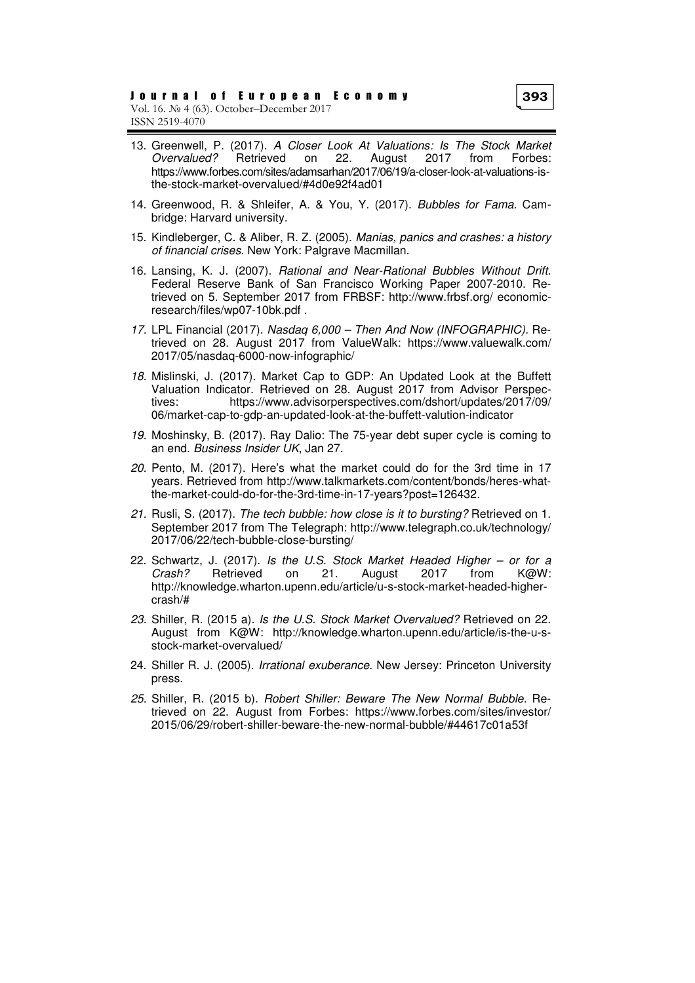- 13. Greenwell, P. (2017). A Closer Look At Valuations: Is The Stock Market Overvalued? Retrieved on 22. August 2017 from Forbes: https://www.forbes.com/sites/adamsarhan/2017/06/19/a-closer-look-at-valuations-isthe-stock-market-overvalued/#4d0e92f4ad01
- 14. Greenwood, R. & Shleifer, A. & You, Y. (2017). Bubbles for Fama. Cambridge: Harvard university.
- 15. Kindleberger, C. & Aliber, R. Z. (2005). Manias, panics and crashes: a history of financial crises. New York: Palgrave Macmillan.
- 16. Lansing, K. J. (2007). Rational and Near-Rational Bubbles Without Drift. Federal Reserve Bank of San Francisco Working Paper 2007-2010. Retrieved on 5. September 2017 from FRBSF: http://www.frbsf.org/ economicresearch/files/wp07-10bk.pdf .
- 17. LPL Financial (2017). Nasdaq 6,000 Then And Now (INFOGRAPHIC). Retrieved on 28. August 2017 from ValueWalk: https://www.valuewalk.com/ 2017/05/nasdaq-6000-now-infographic/
- 18. Mislinski, J. (2017). Market Cap to GDP: An Updated Look at the Buffett Valuation Indicator. Retrieved on 28. August 2017 from Advisor Perspectives: https://www.advisorperspectives.com/dshort/updates/2017/09/ 06/market-cap-to-gdp-an-updated-look-at-the-buffett-valution-indicator
- 19. Moshinsky, B. (2017). Ray Dalio: The 75-year debt super cycle is coming to an end. Business Insider UK, Jan 27.
- 20. Pento, M. (2017). Here's what the market could do for the 3rd time in 17 years. Retrieved from http://www.talkmarkets.com/content/bonds/heres-whatthe-market-could-do-for-the-3rd-time-in-17-years?post=126432.
- 21. Rusli, S. (2017). The tech bubble: how close is it to bursting? Retrieved on 1. September 2017 from The Telegraph: http://www.telegraph.co.uk/technology/ 2017/06/22/tech-bubble-close-bursting/
- 22. Schwartz, J. (2017). Is the U.S. Stock Market Headed Higher or for a Crash? Retrieved on 21. August 2017 from K@W: http://knowledge.wharton.upenn.edu/article/u-s-stock-market-headed-highercrash/#
- 23. Shiller, R. (2015 a). Is the U.S. Stock Market Overvalued? Retrieved on 22. August from K@W: http://knowledge.wharton.upenn.edu/article/is-the-u-sstock-market-overvalued/
- 24. Shiller R. J. (2005). Irrational exuberance. New Jersey: Princeton University press.
- 25. Shiller, R. (2015 b). Robert Shiller: Beware The New Normal Bubble. Retrieved on 22. August from Forbes: https://www.forbes.com/sites/investor/ 2015/06/29/robert-shiller-beware-the-new-normal-bubble/#44617c01a53f